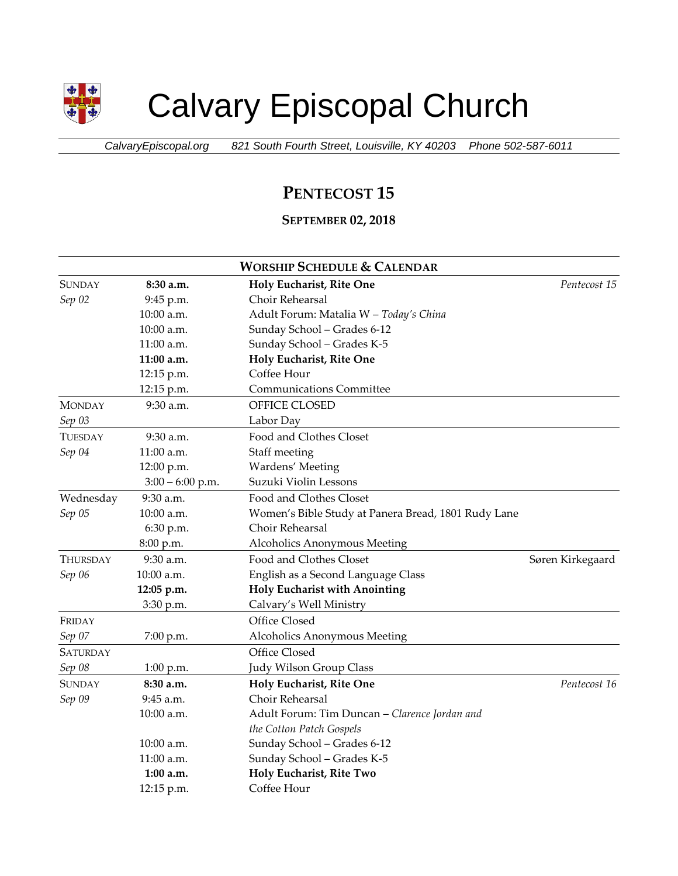

# Calvary Episcopal Church

*CalvaryEpiscopal.org 821 South Fourth Street, Louisville, KY 40203 Phone 502-587-6011*

## **PENTECOST 15**

### **SEPTEMBER 02, 2018**

| <b>WORSHIP SCHEDULE &amp; CALENDAR</b> |                    |                                                     |                  |  |  |
|----------------------------------------|--------------------|-----------------------------------------------------|------------------|--|--|
| <b>SUNDAY</b>                          | 8:30 a.m.          | Holy Eucharist, Rite One                            | Pentecost 15     |  |  |
| Sep 02                                 | 9:45 p.m.          | Choir Rehearsal                                     |                  |  |  |
|                                        | 10:00 a.m.         | Adult Forum: Matalia W - Today's China              |                  |  |  |
|                                        | 10:00 a.m.         | Sunday School - Grades 6-12                         |                  |  |  |
|                                        | $11:00$ a.m.       | Sunday School - Grades K-5                          |                  |  |  |
|                                        | 11:00 a.m.         | Holy Eucharist, Rite One                            |                  |  |  |
|                                        | 12:15 p.m.         | Coffee Hour                                         |                  |  |  |
|                                        | 12:15 p.m.         | <b>Communications Committee</b>                     |                  |  |  |
| <b>MONDAY</b>                          | 9:30 a.m.          | OFFICE CLOSED                                       |                  |  |  |
| Sep 03                                 |                    | Labor Day                                           |                  |  |  |
| TUESDAY                                | $9:30$ a.m.        | Food and Clothes Closet                             |                  |  |  |
| Sep 04                                 | 11:00 a.m.         | Staff meeting                                       |                  |  |  |
|                                        | 12:00 p.m.         | Wardens' Meeting                                    |                  |  |  |
|                                        | $3:00 - 6:00$ p.m. | Suzuki Violin Lessons                               |                  |  |  |
| Wednesday                              | 9:30 a.m.          | Food and Clothes Closet                             |                  |  |  |
| Sep 05                                 | 10:00 a.m.         | Women's Bible Study at Panera Bread, 1801 Rudy Lane |                  |  |  |
|                                        | 6:30 p.m.          | Choir Rehearsal                                     |                  |  |  |
|                                        | 8:00 p.m.          | Alcoholics Anonymous Meeting                        |                  |  |  |
| THURSDAY                               | 9:30 a.m.          | Food and Clothes Closet                             | Søren Kirkegaard |  |  |
| Sep 06                                 | $10:00$ a.m.       | English as a Second Language Class                  |                  |  |  |
|                                        | 12:05 p.m.         | <b>Holy Eucharist with Anointing</b>                |                  |  |  |
|                                        | 3:30 p.m.          | Calvary's Well Ministry                             |                  |  |  |
| FRIDAY                                 |                    | Office Closed                                       |                  |  |  |
| Sep 07                                 | $7:00$ p.m.        | Alcoholics Anonymous Meeting                        |                  |  |  |
| SATURDAY                               |                    | Office Closed                                       |                  |  |  |
| Sep 08                                 | 1:00 p.m.          | Judy Wilson Group Class                             |                  |  |  |
| <b>SUNDAY</b>                          | 8:30 a.m.          | Holy Eucharist, Rite One                            | Pentecost 16     |  |  |
| Sep 09                                 | 9:45 a.m.          | Choir Rehearsal                                     |                  |  |  |
|                                        | 10:00 a.m.         | Adult Forum: Tim Duncan - Clarence Jordan and       |                  |  |  |
|                                        |                    | the Cotton Patch Gospels                            |                  |  |  |
|                                        | 10:00 a.m.         | Sunday School - Grades 6-12                         |                  |  |  |
|                                        | 11:00 a.m.         | Sunday School - Grades K-5                          |                  |  |  |
|                                        | $1:00$ a.m.        | Holy Eucharist, Rite Two                            |                  |  |  |
|                                        | 12:15 p.m.         | Coffee Hour                                         |                  |  |  |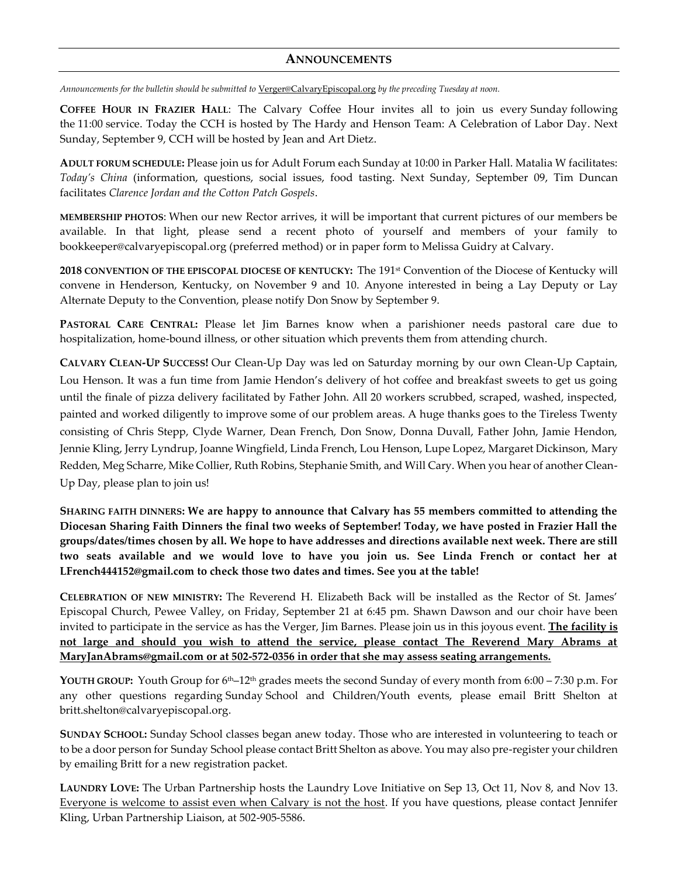#### **ANNOUNCEMENTS**

*Announcements for the bulletin should be submitted to* [Verger@CalvaryEpiscopal.org](mailto:Verger@CalvaryEpiscopal.org) *by the preceding Tuesday at noon.* 

**COFFEE HOUR IN FRAZIER HALL**: The Calvary Coffee Hour invites all to join us every Sunday following the 11:00 service. Today the CCH is hosted by The Hardy and Henson Team: A Celebration of Labor Day. Next Sunday, September 9, CCH will be hosted by Jean and Art Dietz.

**ADULT FORUM SCHEDULE:** Please join us for Adult Forum each Sunday at 10:00 in Parker Hall. Matalia W facilitates: *Today's China* (information, questions, social issues, food tasting. Next Sunday, September 09, Tim Duncan facilitates *Clarence Jordan and the Cotton Patch Gospels*.

**MEMBERSHIP PHOTOS**: When our new Rector arrives, it will be important that current pictures of our members be available. In that light, please send a recent photo of yourself and members of your family to [bookkeeper@calvaryepiscopal.org](mailto:bookkeeper@calvaryepiscopal.org) (preferred method) or in paper form to Melissa Guidry at Calvary.

**2018 CONVENTION OF THE EPISCOPAL DIOCESE OF KENTUCKY:** The 191st Convention of the Diocese of Kentucky will convene in Henderson, Kentucky, on November 9 and 10. Anyone interested in being a Lay Deputy or Lay Alternate Deputy to the Convention, please notify Don Snow by September 9.

**PASTORAL CARE CENTRAL:** Please let Jim Barnes know when a parishioner needs pastoral care due to hospitalization, home-bound illness, or other situation which prevents them from attending church.

**CALVARY CLEAN-UP SUCCESS!** Our Clean-Up Day was led on Saturday morning by our own Clean-Up Captain, Lou Henson. It was a fun time from Jamie Hendon's delivery of hot coffee and breakfast sweets to get us going until the finale of pizza delivery facilitated by Father John. All 20 workers scrubbed, scraped, washed, inspected, painted and worked diligently to improve some of our problem areas. A huge thanks goes to the Tireless Twenty consisting of Chris Stepp, Clyde Warner, Dean French, Don Snow, Donna Duvall, Father John, Jamie Hendon, Jennie Kling, Jerry Lyndrup, Joanne Wingfield, Linda French, Lou Henson, Lupe Lopez, Margaret Dickinson, Mary Redden, Meg Scharre, Mike Collier, Ruth Robins, Stephanie Smith, and Will Cary. When you hear of another Clean-Up Day, please plan to join us!

**SHARING FAITH DINNERS: We are happy to announce that Calvary has 55 members committed to attending the Diocesan Sharing Faith Dinners the final two weeks of September! Today, we have posted in Frazier Hall the groups/dates/times chosen by all. We hope to have addresses and directions available next week. There are still two seats available and we would love to have you join us. See Linda French or contact her at [LFrench444152@gmail.com](mailto:LFrench444152@gmail.com) to check those two dates and times. See you at the table!**

**CELEBRATION OF NEW MINISTRY:** The Reverend H. Elizabeth Back will be installed as the Rector of St. James' Episcopal Church, Pewee Valley, on Friday, September 21 at 6:45 pm. Shawn Dawson and our choir have been invited to participate in the service as has the Verger, Jim Barnes. Please join us in this joyous event. **The facility is not large and should you wish to attend the service, please contact The Reverend Mary Abrams at [MaryJanAbrams@gmail.com](mailto:MaryJanAbrams@gmail.com) or at 502-572-0356 in order that she may assess seating arrangements.**

**YOUTH GROUP:** Youth Group for 6th–12th grades meets the second Sunday of every month from 6:00 – 7:30 p.m. For any other questions regarding Sunday School and Children/Youth events, please email Britt Shelton at [britt.shelton@calvaryepiscopal.org.](mailto:britt.shelton@calvaryepiscopal.org)

**SUNDAY SCHOOL:** Sunday School classes began anew today. Those who are interested in volunteering to teach or to be a door person for Sunday School please contact Britt Shelton as above. You may also pre-register your children by emailing Britt for a new registration packet.

**LAUNDRY LOVE:** The Urban Partnership hosts the Laundry Love Initiative on Sep 13, Oct 11, Nov 8, and Nov 13. Everyone is welcome to assist even when Calvary is not the host. If you have questions, please contact Jennifer Kling, Urban Partnership Liaison, at 502-905-5586.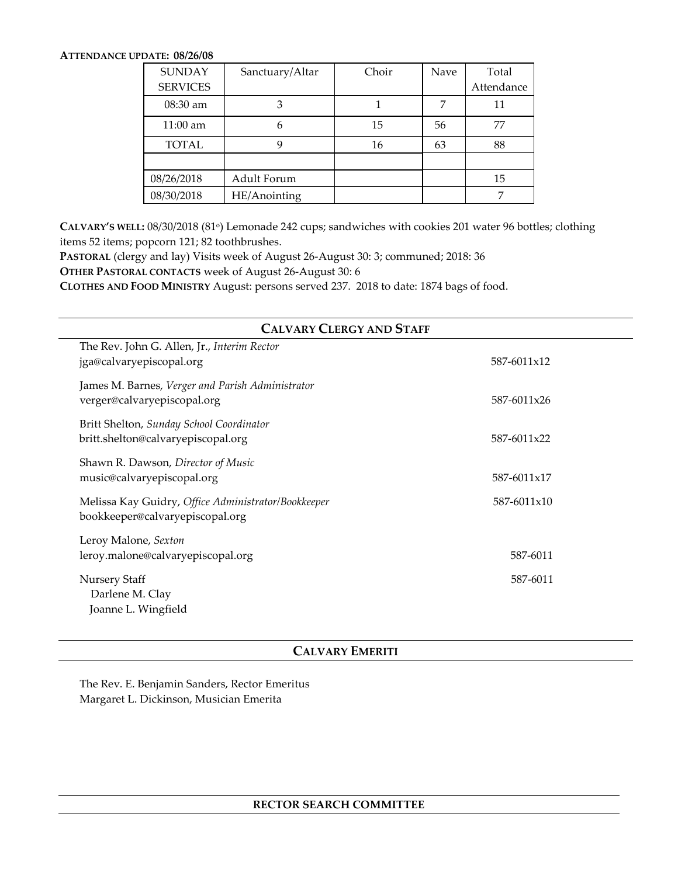#### **ATTENDANCE UPDATE: 08/26/08**

| <b>SUNDAY</b>   | Sanctuary/Altar | Choir | Nave | Total      |
|-----------------|-----------------|-------|------|------------|
| <b>SERVICES</b> |                 |       |      | Attendance |
| $08:30$ am      |                 |       |      | 11         |
| $11:00$ am      | h               | 15    | 56   | 77         |
| <b>TOTAL</b>    |                 | 16    | 63   | 88         |
|                 |                 |       |      |            |
| 08/26/2018      | Adult Forum     |       |      | 15         |
| 08/30/2018      | HE/Anointing    |       |      |            |

**CALVARY'S WELL:** 08/30/2018 (81 o ) Lemonade 242 cups; sandwiches with cookies 201 water 96 bottles; clothing items 52 items; popcorn 121; 82 toothbrushes.

**PASTORAL** (clergy and lay) Visits week of August 26-August 30: 3; communed; 2018: 36

**OTHER PASTORAL CONTACTS** week of August 26-August 30: 6

**CLOTHES AND FOOD MINISTRY** August: persons served 237. 2018 to date: 1874 bags of food.

| <b>CALVARY CLERGY AND STAFF</b>                     |             |  |  |  |  |
|-----------------------------------------------------|-------------|--|--|--|--|
| The Rev. John G. Allen, Jr., Interim Rector         |             |  |  |  |  |
| jga@calvaryepiscopal.org                            | 587-6011x12 |  |  |  |  |
| James M. Barnes, Verger and Parish Administrator    |             |  |  |  |  |
| verger@calvaryepiscopal.org                         | 587-6011x26 |  |  |  |  |
| Britt Shelton, Sunday School Coordinator            |             |  |  |  |  |
| britt.shelton@calvaryepiscopal.org                  | 587-6011x22 |  |  |  |  |
| Shawn R. Dawson, Director of Music                  |             |  |  |  |  |
| music@calvaryepiscopal.org                          | 587-6011x17 |  |  |  |  |
| Melissa Kay Guidry, Office Administrator/Bookkeeper | 587-6011x10 |  |  |  |  |
| bookkeeper@calvaryepiscopal.org                     |             |  |  |  |  |
| Leroy Malone, Sexton                                |             |  |  |  |  |
| leroy.malone@calvaryepiscopal.org                   | 587-6011    |  |  |  |  |
| <b>Nursery Staff</b>                                | 587-6011    |  |  |  |  |
| Darlene M. Clay                                     |             |  |  |  |  |
| Joanne L. Wingfield                                 |             |  |  |  |  |

#### **CALVARY EMERITI**

The Rev. E. Benjamin Sanders, Rector Emeritus Margaret L. Dickinson, Musician Emerita